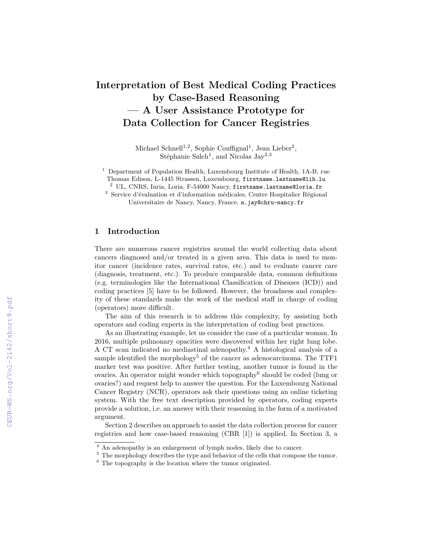# **Interpretation of Best Medical Coding Practices by Case-Based Reasoning — A User Assistance Prototype for Data Collection for Cancer Registries**

Michael Schnell<sup>1,2</sup>, Sophie Couffignal<sup>1</sup>, Jean Lieber<sup>2</sup>, Stéphanie Saleh<sup>1</sup>, and Nicolas Jay<sup>2,3</sup>

<sup>1</sup> Department of Population Health, Luxembourg Institute of Health, 1A-B, rue Thomas Edison, L-1445 Strassen, Luxembourg, firstname.lastname@lih.lu

<sup>2</sup> UL, CNRS, Inria, Loria, F-54000 Nancy, firstname.lastname@loria.fr

<sup>3</sup> Service d'évaluation et d'information médicales, Centre Hospitalier Régional Universitaire de Nancy, Nancy, France, n.jay@chru-nancy.fr

### **1 Introduction**

There are numerous cancer registries around the world collecting data about cancers diagnosed and/or treated in a given area. This data is used to monitor cancer (incidence rates, survival rates, etc.) and to evaluate cancer care (diagnosis, treatment, etc.). To produce comparable data, common definitions (e.g. terminologies like the International Classification of Diseases (ICD)) and coding practices [5] have to be followed. However, the broadness and complexity of these standards make the work of the medical staff in charge of coding (operators) more difficult.

The aim of this research is to address this complexity, by assisting both operators and coding experts in the interpretation of coding best practices.

As an illustrating example, let us consider the case of a particular woman. In 2016, multiple pulmonary opacities were discovered within her right lung lobe. A CT scan indicated no mediastinal adenopathy.<sup>4</sup> A histological analysis of a sample identified the morphology<sup>5</sup> of the cancer as adenocarcinoma. The TTF1 marker test was positive. After further testing, another tumor is found in the ovaries. An operator might wonder which topography<sup>6</sup> should be coded (lung or ovaries?) and request help to answer the question. For the Luxembourg National Cancer Registry (NCR), operators ask their questions using an online ticketing system. With the free text description provided by operators, coding experts provide a solution, i.e. an answer with their reasoning in the form of a motivated argument.

Section 2 describes an approach to assist the data collection process for cancer registries and how case-based reasoning (CBR [1]) is applied. In Section 3, a

 $\frac{4}{4}$  An adenopathy is an enlargement of lymph nodes, likely due to cancer.

<sup>&</sup>lt;sup>5</sup> The morphology describes the type and behavior of the cells that compose the tumor.

 $6$  The topography is the location where the tumor originated.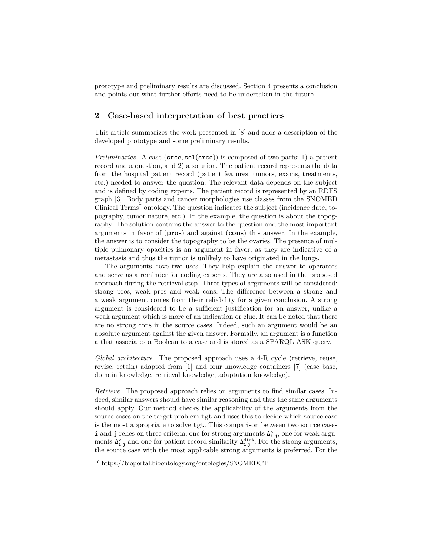prototype and preliminary results are discussed. Section 4 presents a conclusion and points out what further efforts need to be undertaken in the future.

#### **2 Case-based interpretation of best practices**

This article summarizes the work presented in [8] and adds a description of the developed prototype and some preliminary results.

*Preliminaries.* A case (srce, sol(srce)) is composed of two parts: 1) a patient record and a question, and 2) a solution. The patient record represents the data from the hospital patient record (patient features, tumors, exams, treatments, etc.) needed to answer the question. The relevant data depends on the subject and is defined by coding experts. The patient record is represented by an RDFS graph [3]. Body parts and cancer morphologies use classes from the SNOMED Clinical  $Terms^7$  ontology. The question indicates the subject (incidence date, topography, tumor nature, etc.). In the example, the question is about the topography. The solution contains the answer to the question and the most important arguments in favor of (**pros**) and against (**cons**) this answer. In the example, the answer is to consider the topography to be the ovaries. The presence of multiple pulmonary opacities is an argument in favor, as they are indicative of a metastasis and thus the tumor is unlikely to have originated in the lungs.

The arguments have two uses. They help explain the answer to operators and serve as a reminder for coding experts. They are also used in the proposed approach during the retrieval step. Three types of arguments will be considered: strong pros, weak pros and weak cons. The difference between a strong and a weak argument comes from their reliability for a given conclusion. A strong argument is considered to be a sufficient justification for an answer, unlike a weak argument which is more of an indication or clue. It can be noted that there are no strong cons in the source cases. Indeed, such an argument would be an absolute argument against the given answer. Formally, an argument is a function a that associates a Boolean to a case and is stored as a SPARQL ASK query.

*Global architecture.* The proposed approach uses a 4-R cycle (retrieve, reuse, revise, retain) adapted from [1] and four knowledge containers [7] (case base, domain knowledge, retrieval knowledge, adaptation knowledge).

*Retrieve.* The proposed approach relies on arguments to find similar cases. Indeed, similar answers should have similar reasoning and thus the same arguments should apply. Our method checks the applicability of the arguments from the source cases on the target problem tgt and uses this to decide which source case is the most appropriate to solve tgt. This comparison between two source cases i and j relies on three criteria, one for strong arguments  $\Delta_{i,j}^s$ , one for weak arguments  $\Delta_{i,j}^{\mathbf{w}}$  and one for patient record similarity  $\Delta_{i,j}^{\text{dist}}$ . For the strong arguments, the source case with the most applicable strong arguments is preferred. For the

<sup>7</sup> https://bioportal.bioontology.org/ontologies/SNOMEDCT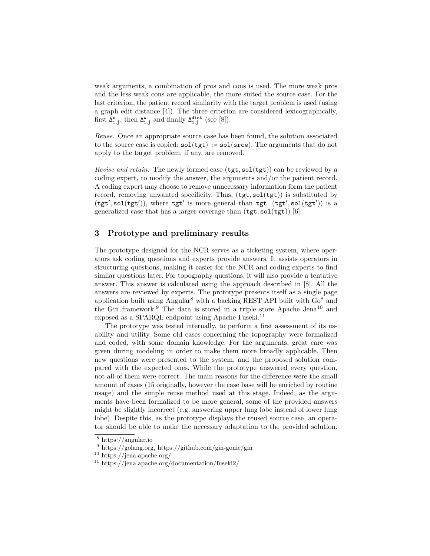weak arguments, a combination of pros and cons is used. The more weak pros and the less weak cons are applicable, the more suited the source case. For the last criterion, the patient record similarity with the target problem is used (using a graph edit distance [4]). The three criterion are considered lexicographically, first  $\Delta_{i,j}^s$ , then  $\Delta_{i,j}^w$  and finally  $\Delta_{i,j}^{\text{dist}}$  (see [8]).

*Reuse.* Once an appropriate source case has been found, the solution associated to the source case is copied:  $sol(tgt) := sol(srce)$ . The arguments that do not apply to the target problem, if any, are removed.

*Revise and retain.* The newly formed case (tgt, sol(tgt)) can be reviewed by a coding expert, to modify the answer, the arguments and/or the patient record. A coding expert may choose to remove unnecessary information form the patient record, removing unwanted specificity. Thus, (tgt, sol(tgt)) is substituted by  $(tgt', sol(tgt'))$ , where  $tgt'$  is more general than  $tgt. (tgt', sol(tgt'))$  is a generalized case that has a larger coverage than  $(\texttt{tgt}, \texttt{sol}(\texttt{tgt}))$  [6].

#### **3 Prototype and preliminary results**

The prototype designed for the NCR serves as a ticketing system, where operators ask coding questions and experts provide answers. It assists operators in structuring questions, making it easier for the NCR and coding experts to find similar questions later. For topography questions, it will also provide a tentative answer. This answer is calculated using the approach described in [8]. All the answers are reviewed by experts. The prototype presents itself as a single page application built using Angular<sup>8</sup> with a backing REST API built with  $Go<sup>8</sup>$  and the Gin framework.<sup>9</sup> The data is stored in a triple store Apache Jena<sup>10</sup> and exposed as a SPARQL endpoint using Apache Fuseki. $^{11}$ 

The prototype was tested internally, to perform a first assessment of its usability and utility. Some old cases concerning the topography were formalized and coded, with some domain knowledge. For the arguments, great care was given during modeling in order to make them more broadly applicable. Then new questions were presented to the system, and the proposed solution compared with the expected ones. While the prototype answered every question, not all of them were correct. The main reasons for the difference were the small amount of cases (15 originally, however the case base will be enriched by routine usage) and the simple reuse method used at this stage. Indeed, as the arguments have been formalized to be more general, some of the provided answers might be slightly incorrect (e.g. answering upper lung lobe instead of lower lung lobe). Despite this, as the prototype displays the reused source case, an operator should be able to make the necessary adaptation to the provided solution.

<sup>8</sup> https://angular.io

<sup>9</sup> https://golang.org, https://github.com/gin-gonic/gin

<sup>10</sup> https://jena.apache.org/

<sup>11</sup> https://jena.apache.org/documentation/fuseki2/